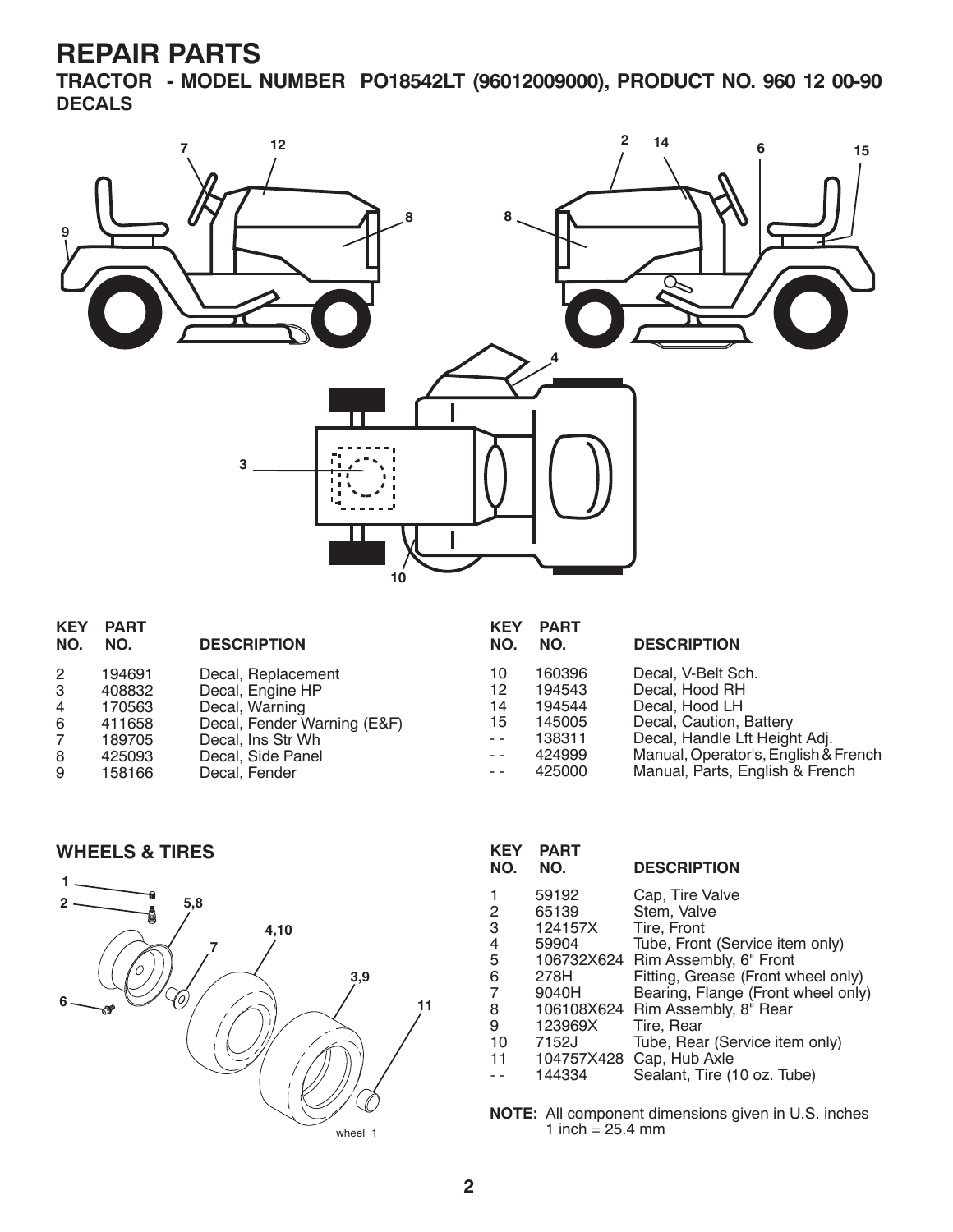**TRACTOR - MODEL NUMBER PO18542LT (96012009000), PRODUCT NO. 960 12 00-90 DECALS**



| <b>KEY</b><br>NO. | <b>PART</b><br>NO. | <b>DESCRIPTION</b>          | <b>KEY</b><br>NO. | <b>PART</b><br>NO. | <b>DESCRIPTION</b>                   |
|-------------------|--------------------|-----------------------------|-------------------|--------------------|--------------------------------------|
|                   |                    |                             |                   |                    |                                      |
| 2                 | 194691             | Decal, Replacement          | 10                | 160396             | Decal, V-Belt Sch.                   |
| 3                 | 408832             | Decal, Engine HP            | 12                | 194543             | Decal, Hood RH                       |
| 4                 | 170563             | Decal, Warning              | 14                | 194544             | Decal, Hood LH                       |
| 6                 | 411658             | Decal, Fender Warning (E&F) | 15                | 145005             | Decal, Caution, Battery              |
| $\overline{7}$    | 189705             | Decal, Ins Str Wh           | $ -$              | 138311             | Decal, Handle Lft Height Adj.        |
| 8                 | 425093             | Decal, Side Panel           | $ -$              | 424999             | Manual, Operator's, English & French |
| 9                 | 158166             | Decal, Fender               | $ -$              | 425000             | Manual, Parts, English & French      |





| <b>KEY</b><br>NO. | <b>PART</b><br>NO. | <b>DESCRIPTION</b>                 |
|-------------------|--------------------|------------------------------------|
| 1                 | 59192              | Cap, Tire Valve                    |
| 2                 | 65139              | Stem, Valve                        |
| 3                 | 124157X            | Tire, Front                        |
| 4                 | 59904              | Tube, Front (Service item only)    |
| 5                 |                    | 106732X624 Rim Assembly, 6" Front  |
| 6                 | 278H               | Fitting, Grease (Front wheel only) |
| 7                 | 9040H              | Bearing, Flange (Front wheel only) |
| 8                 |                    | 106108X624 Rim Assembly, 8" Rear   |
| 9                 | 123969X            | Tire, Rear                         |
| 10                | 7152J              | Tube, Rear (Service item only)     |
| 11                | 104757X428         | Cap, Hub Axle                      |
|                   | 144334             | Sealant, Tire (10 oz. Tube)        |
|                   |                    |                                    |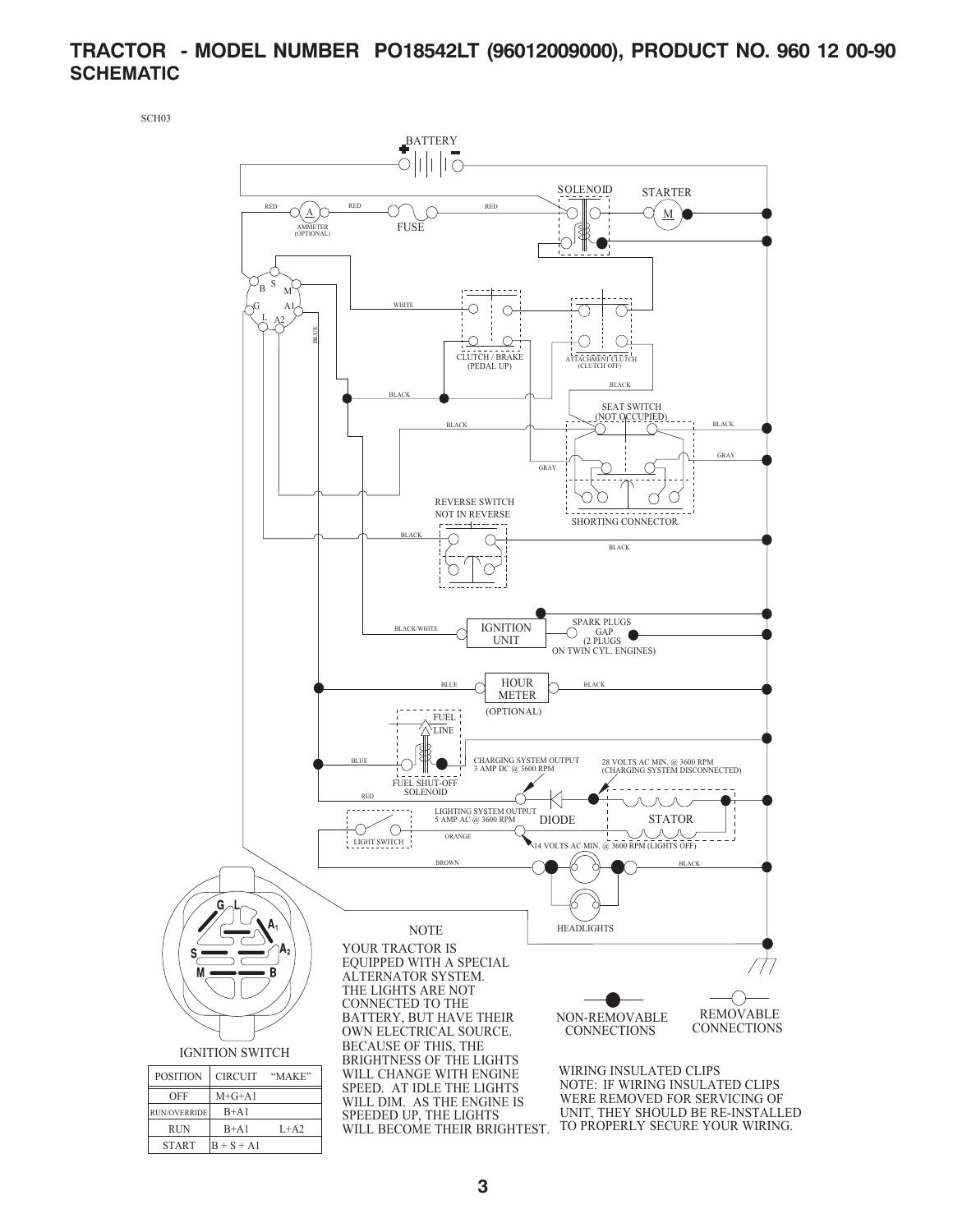#### **TRACTOR - MODEL NUMBER PO18542LT (96012009000), PRODUCT NO. 960 12 00-90 SCHEMATIC**

SCH03

 $START$   $B + S + A1$ 

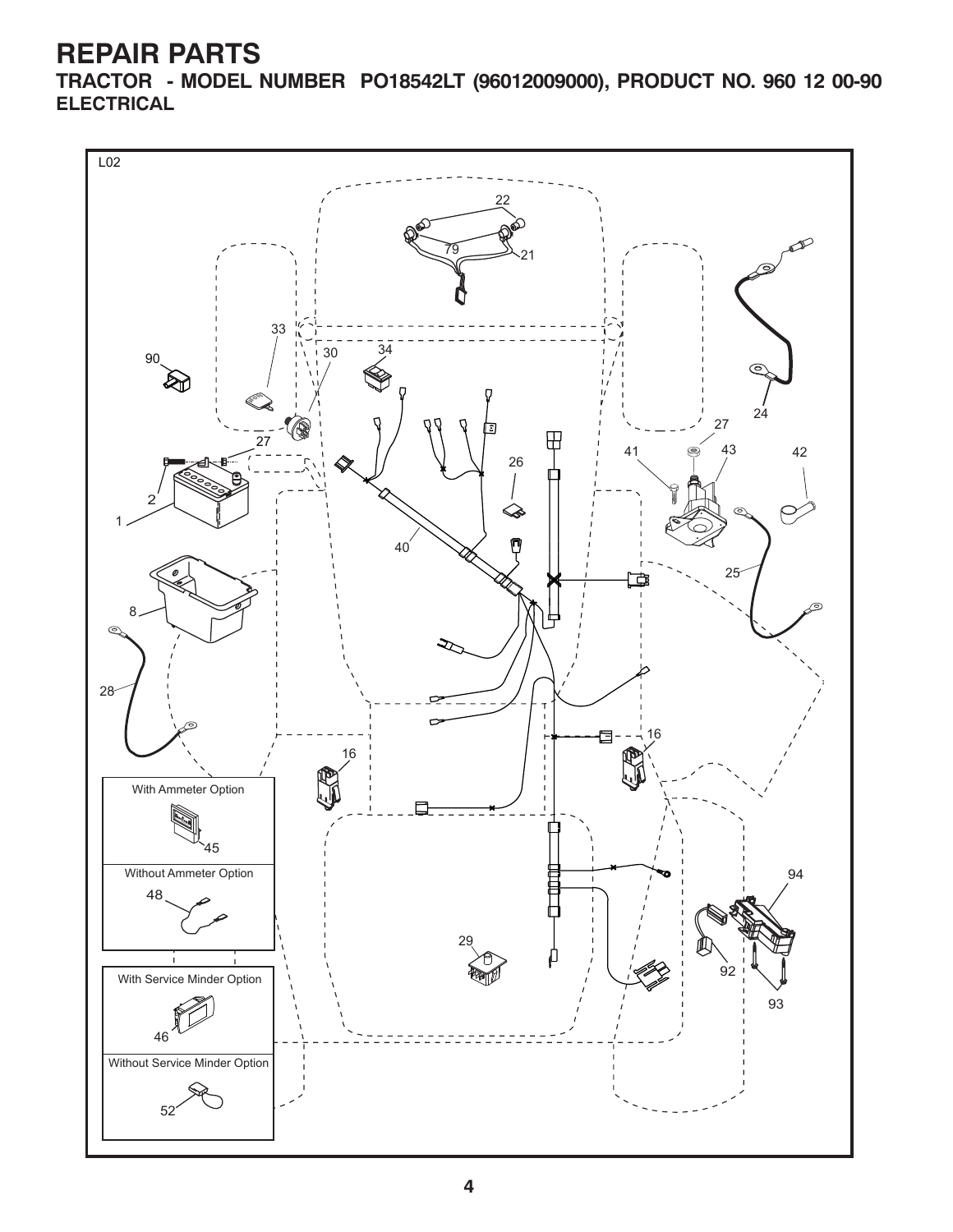**TRACTOR - MODEL NUMBER PO18542LT (96012009000), PRODUCT NO. 960 12 00-90 ELECTRICAL**

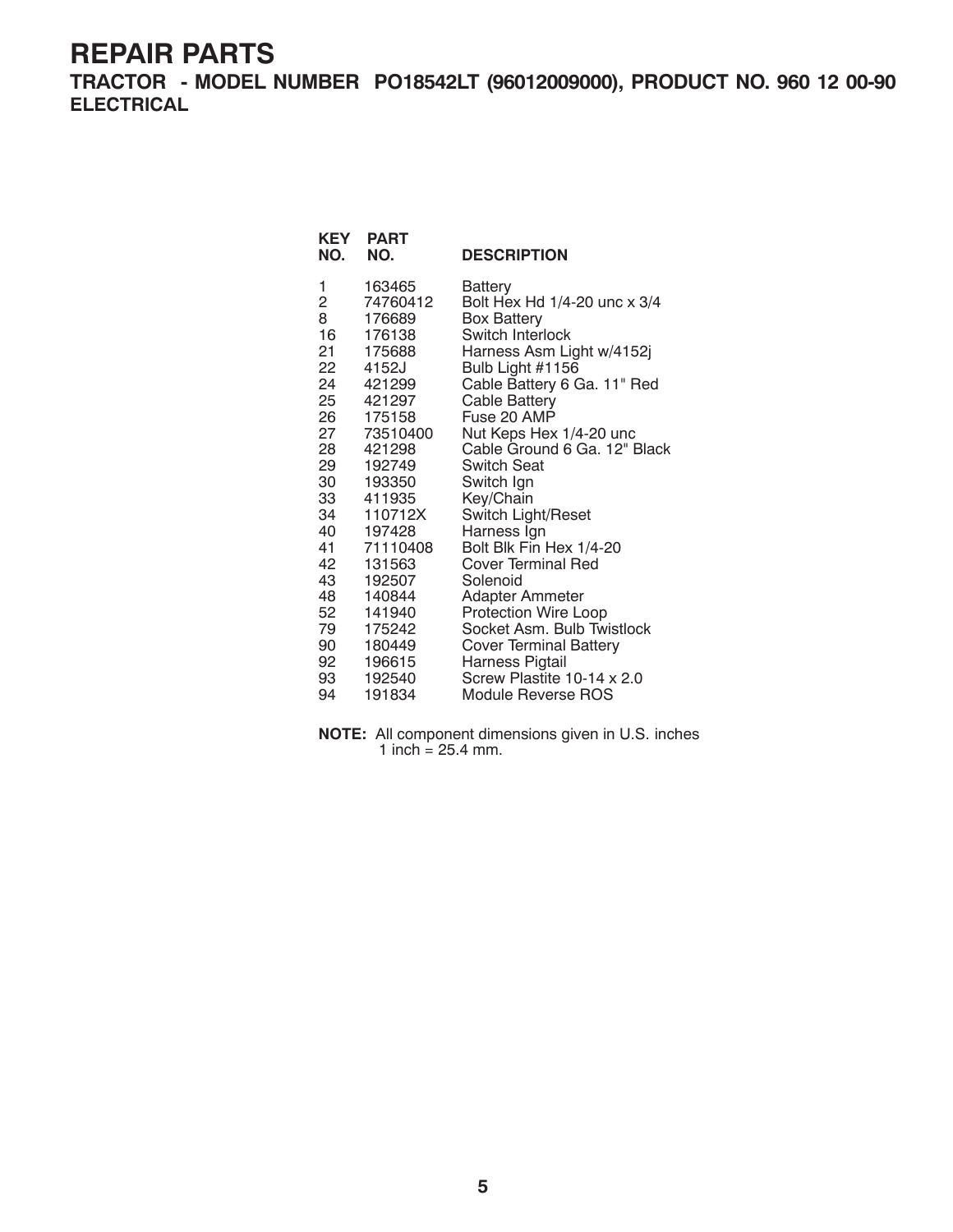**TRACTOR - MODEL NUMBER PO18542LT (96012009000), PRODUCT NO. 960 12 00-90 ELECTRICAL**

| KEY<br>NO. | <b>PART</b><br>NO.    | <b>DESCRIPTION</b>                                      |
|------------|-----------------------|---------------------------------------------------------|
| 1          | 163465                | Battery                                                 |
| 2          | 74760412              | Bolt Hex Hd 1/4-20 unc x 3/4                            |
| 8          | 176689                | <b>Box Battery</b>                                      |
| 16         | 176138                | Switch Interlock                                        |
| 21         | 175688                | Harness Asm Light w/4152j                               |
| 22         | 4152J                 | Bulb Light #1156                                        |
| 24         | 421299                | Cable Battery 6 Ga. 11" Red                             |
|            | 25 421297             | Cable Battery<br>Fuse 20 AMP                            |
| 27         | 26 175158<br>73510400 |                                                         |
| 28         | 421298                | Nut Keps Hex 1/4-20 unc<br>Cable Ground 6 Ga. 12" Black |
| 29         | 192749                | Switch Seat                                             |
| 30         | 193350                | Switch Ign                                              |
| 33         | 411935                | Key/Chain                                               |
|            | 34 110712X            | Switch Light/Reset                                      |
| 40         | 197428                | Harness Ign                                             |
| 41         | 71110408              | Bolt Blk Fin Hex 1/4-20                                 |
| 42         | 131563                | Cover Terminal Red                                      |
| 43         | 192507                | Solenoid                                                |
| 48         | 140844                | <b>Adapter Ammeter</b>                                  |
| 52         | 141940                | Protection Wire Loop                                    |
|            | 79 175242             | Socket Asm. Bulb Twistlock                              |
| 90         | 180449                | <b>Cover Terminal Battery</b>                           |
| 92         | 196615                | Harness Pigtail                                         |
| 93         | 192540                | Screw Plastite 10-14 x 2.0                              |
| 94         | 191834                | Module Reverse ROS                                      |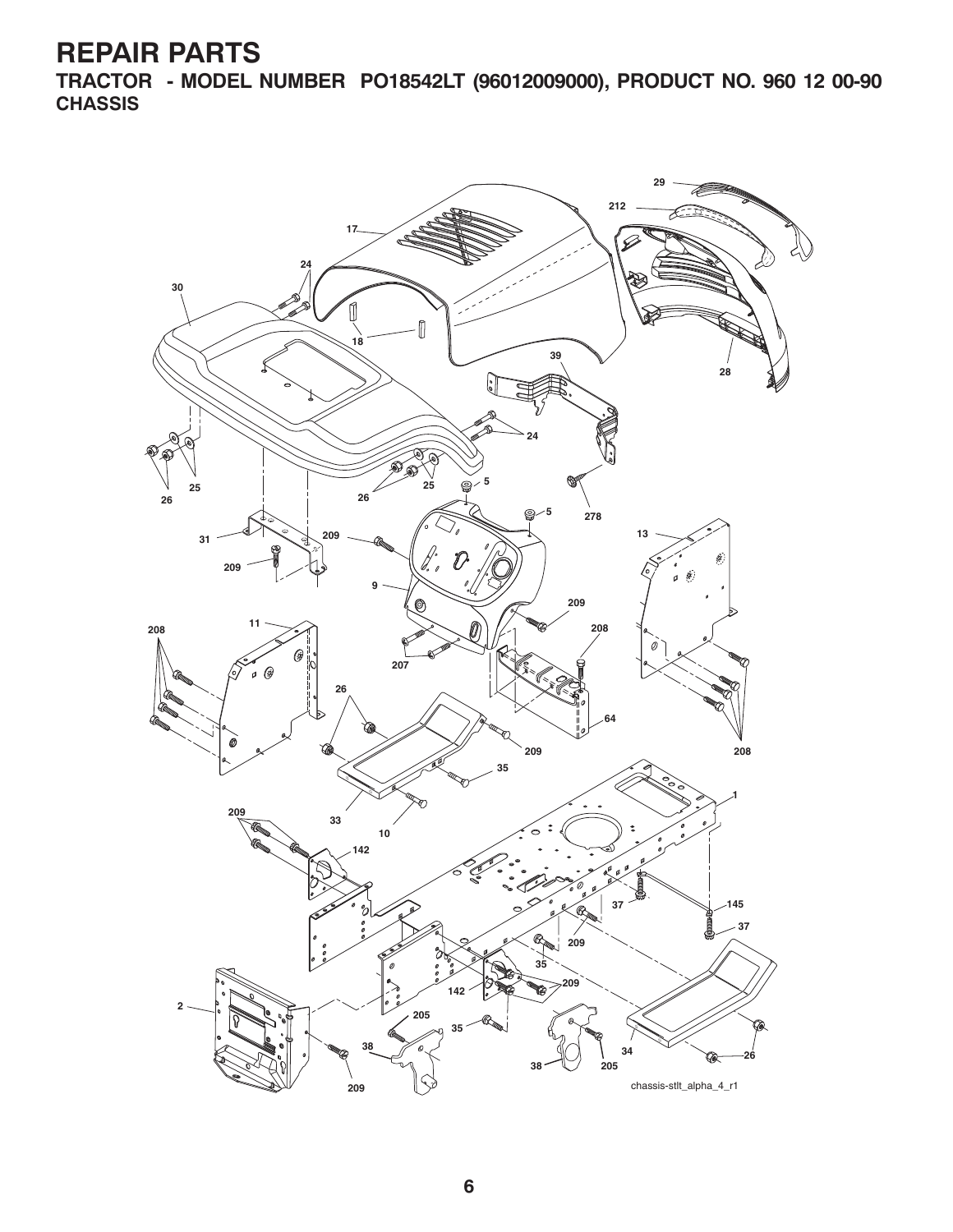**TRACTOR - MODEL NUMBER PO18542LT (96012009000), PRODUCT NO. 960 12 00-90 CHASSIS**

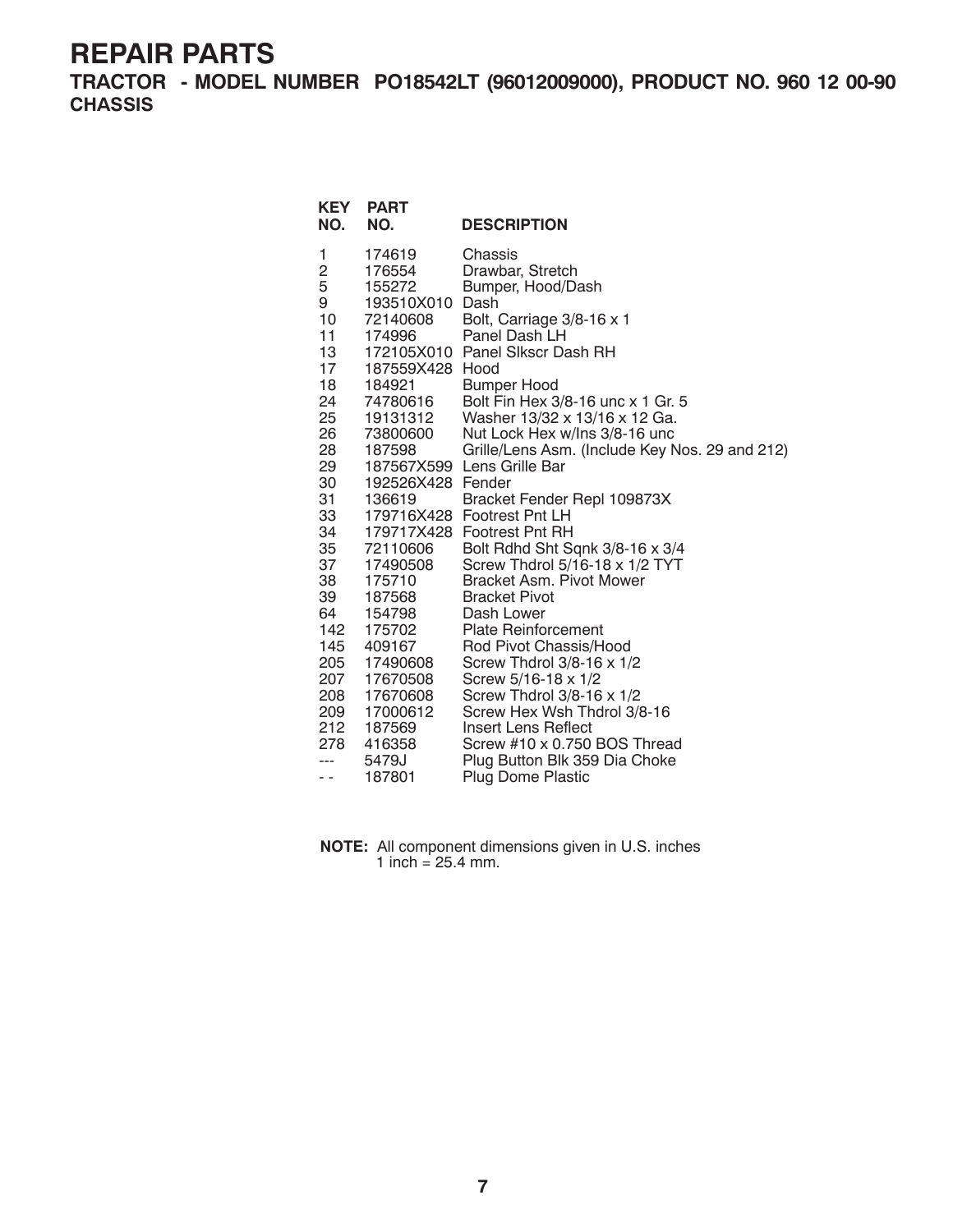**TRACTOR - MODEL NUMBER PO18542LT (96012009000), PRODUCT NO. 960 12 00-90 CHASSIS**

| <b>KEY</b><br>NO.                                                                                                                                                       | <b>PART</b><br>NO.                                                                                                                                                                                                                                                                     | <b>DESCRIPTION</b>                                                                                                                                                                                                                                                                                                                                                                                                                                                                                                                                                                                                                                                                                                                |
|-------------------------------------------------------------------------------------------------------------------------------------------------------------------------|----------------------------------------------------------------------------------------------------------------------------------------------------------------------------------------------------------------------------------------------------------------------------------------|-----------------------------------------------------------------------------------------------------------------------------------------------------------------------------------------------------------------------------------------------------------------------------------------------------------------------------------------------------------------------------------------------------------------------------------------------------------------------------------------------------------------------------------------------------------------------------------------------------------------------------------------------------------------------------------------------------------------------------------|
| 1<br>2<br>5<br>9<br>10<br>11<br>13<br>17<br>18<br>24<br>25<br>26<br>28<br>29<br>30<br>31<br>33<br>34<br>35<br>37<br>38<br>39<br>64 —<br>142<br>145<br>205<br>207<br>208 | 174619<br>176554<br>155272<br>193510X010<br>72140608<br>174996<br>187559X428 Hood<br>184921<br>74780616<br>19131312<br>73800600<br>187598<br>192526X428 Fender<br>136619<br>72110606<br>17490508<br>175710<br>187568<br>154798<br>175702<br>409167<br>17490608<br>17670508<br>17670608 | Chassis<br>Drawbar, Stretch<br>Bumper, Hood/Dash<br>Dash<br>Bolt, Carriage 3/8-16 x 1<br>Panel Dash LH<br>172105X010 Panel Slkscr Dash RH<br>Bumper Hood<br>Bolt Fin Hex 3/8-16 unc x 1 Gr. 5<br>Washer 13/32 x 13/16 x 12 Ga.<br>Nut Lock Hex w/Ins 3/8-16 unc<br>Grille/Lens Asm. (Include Key Nos. 29 and 212)<br>187567X599 Lens Grille Bar<br>Bracket Fender Repl 109873X<br>179716X428 Footrest Pnt LH<br>179717X428 Footrest Pnt RH<br>Bolt Rdhd Sht Sqnk 3/8-16 x 3/4<br>Screw Thdrol 5/16-18 x 1/2 TYT<br>Bracket Asm. Pivot Mower<br><b>Bracket Pivot</b><br>Dash Lower<br><b>Plate Reinforcement</b><br>Rod Pivot Chassis/Hood<br>Screw Thdrol $3/8-16 \times 1/2$<br>Screw 5/16-18 x 1/2<br>Screw Thdrol 3/8-16 x 1/2 |
|                                                                                                                                                                         |                                                                                                                                                                                                                                                                                        |                                                                                                                                                                                                                                                                                                                                                                                                                                                                                                                                                                                                                                                                                                                                   |
| 209<br>212<br>278                                                                                                                                                       | 17000612<br>187569<br>416358                                                                                                                                                                                                                                                           | Screw Hex Wsh Thdrol 3/8-16<br>Insert Lens Reflect<br>Screw #10 x 0.750 BOS Thread                                                                                                                                                                                                                                                                                                                                                                                                                                                                                                                                                                                                                                                |
| ---<br>- -                                                                                                                                                              | 5479J<br>187801                                                                                                                                                                                                                                                                        | Plug Button Blk 359 Dia Choke<br><b>Plug Dome Plastic</b>                                                                                                                                                                                                                                                                                                                                                                                                                                                                                                                                                                                                                                                                         |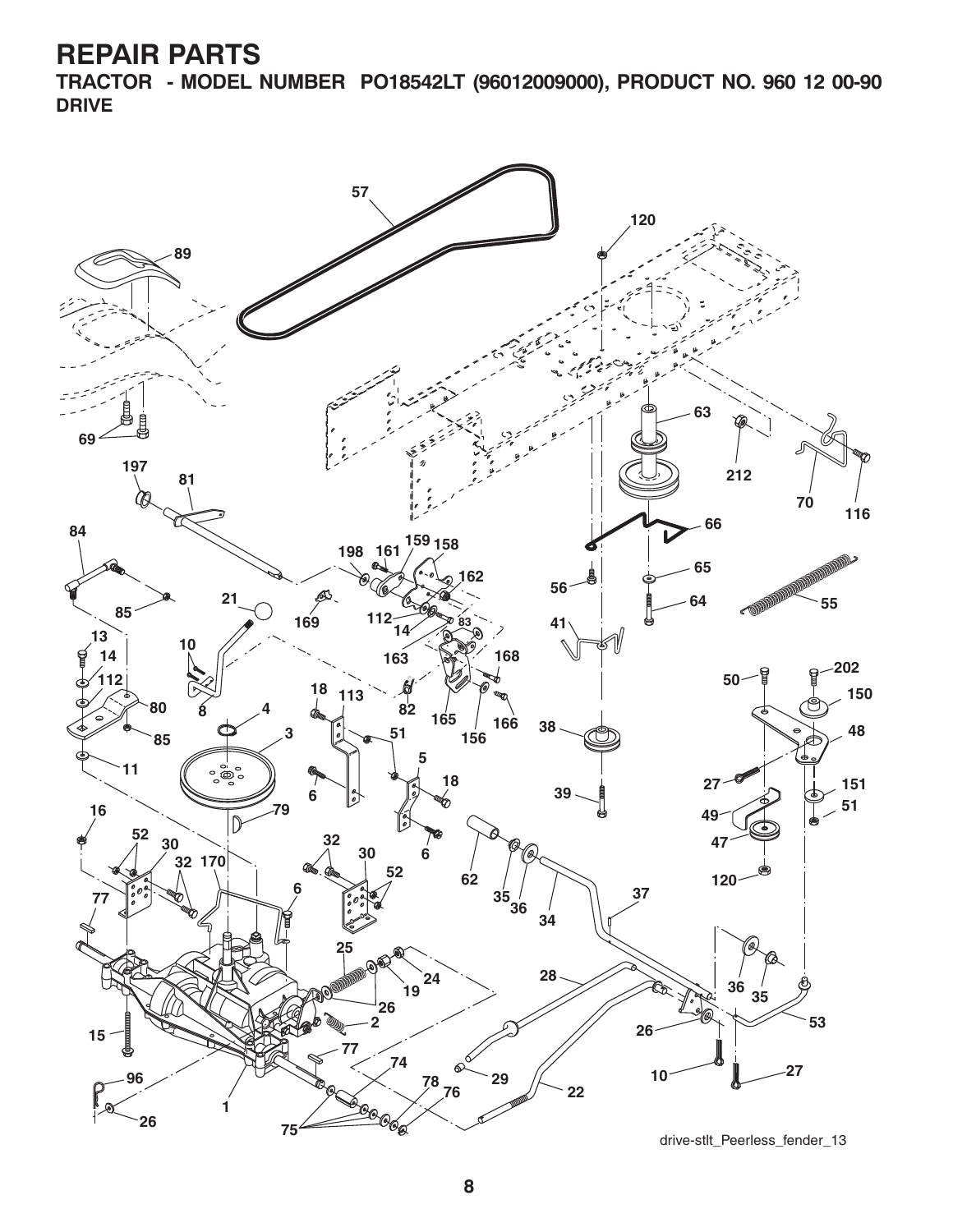**TRACTOR - MODEL NUMBER PO18542LT (96012009000), PRODUCT NO. 960 12 00-90 DRIVE**

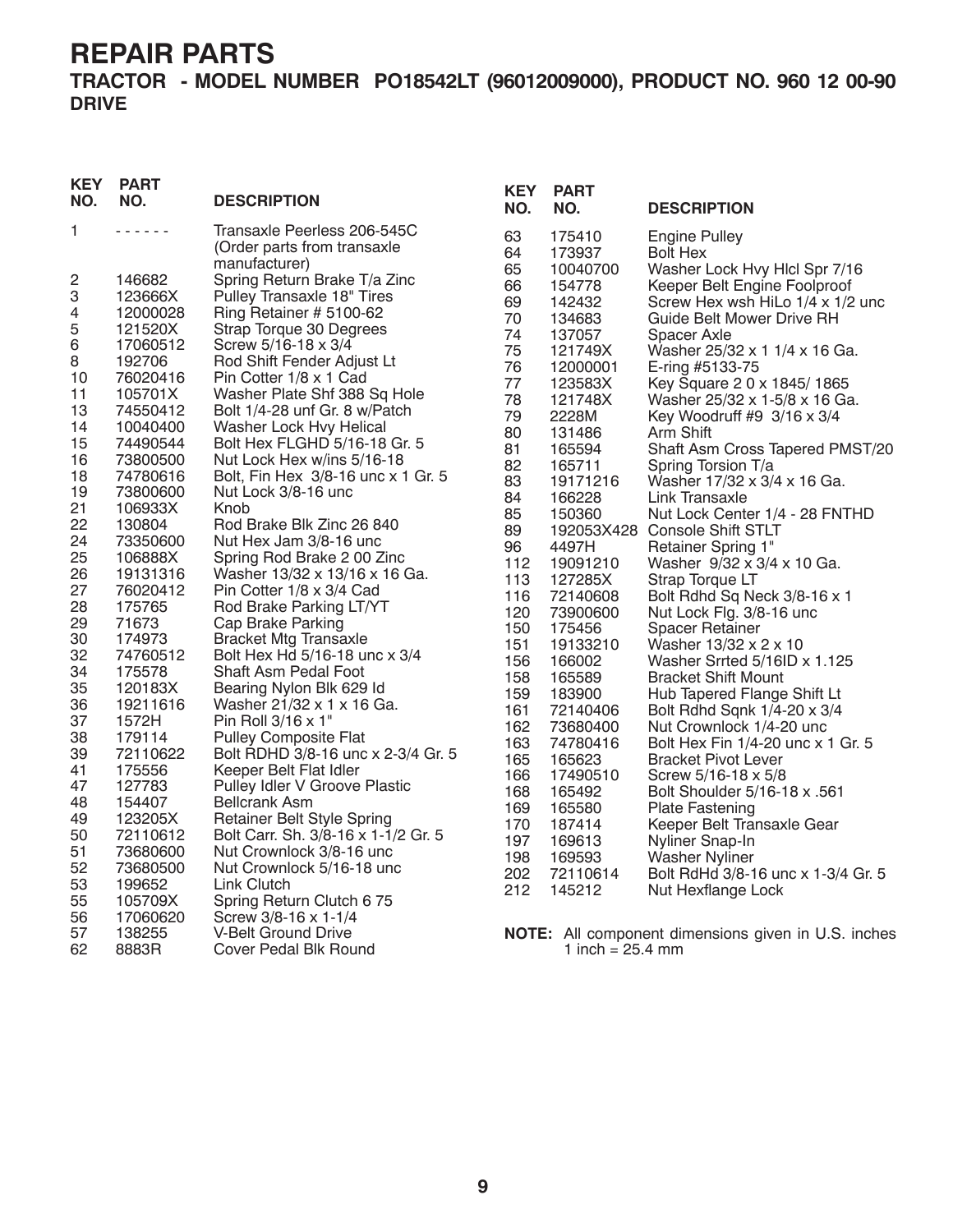**TRACTOR - MODEL NUMBER PO18542LT (96012009000), PRODUCT NO. 960 12 00-90 DRIVE**

| <b>KEY</b><br>NO. | <b>PART</b><br>NO. | <b>DESCRIPTION</b>                  | <b>KEY</b><br>NO. | <b>PART</b><br>NO.         | <b>DESCRIPTION</b>                                         |
|-------------------|--------------------|-------------------------------------|-------------------|----------------------------|------------------------------------------------------------|
| 1                 | 222222             | Transaxle Peerless 206-545C         | 63                | 175410                     | <b>Engine Pulley</b>                                       |
|                   |                    | (Order parts from transaxle         | 64                | 173937                     | <b>Bolt Hex</b>                                            |
|                   |                    | manufacturer)                       | 65                | 10040700                   | Washer Lock Hvy Hlcl Spr 7/16                              |
| 2                 | 146682             | Spring Return Brake T/a Zinc        | 66                | 154778                     | Keeper Belt Engine Foolproof                               |
| 3                 | 123666X            | Pulley Transaxle 18" Tires          | 69                | 142432                     | Screw Hex wsh HiLo 1/4 x 1/2 unc                           |
| 4                 | 12000028           | Ring Retainer # 5100-62             | 70                | 134683                     | Guide Belt Mower Drive RH                                  |
| 5                 | 121520X            | Strap Torque 30 Degrees             | 74                | 137057                     | Spacer Axle                                                |
| 6                 | 17060512           | Screw 5/16-18 x 3/4                 | 75                | 121749X                    | Washer 25/32 x 1 1/4 x 16 Ga.                              |
| 8                 | 192706             | Rod Shift Fender Adjust Lt          | 76                | 12000001                   | E-ring #5133-75                                            |
| 10                | 76020416           | Pin Cotter 1/8 x 1 Cad              | 77                | 123583X                    | Key Square 2 0 x 1845/1865                                 |
| 11                | 105701X            | Washer Plate Shf 388 Sq Hole        | 78                | 121748X                    | Washer 25/32 x 1-5/8 x 16 Ga.                              |
| 13                | 74550412           | Bolt 1/4-28 unf Gr. 8 w/Patch       | 79                | 2228M                      | Key Woodruff #9 3/16 x 3/4                                 |
| 14                | 10040400           | Washer Lock Hvy Helical             | 80                | 131486                     | Arm Shift                                                  |
| 15                | 74490544           | Bolt Hex FLGHD 5/16-18 Gr. 5        | 81                | 165594                     | Shaft Asm Cross Tapered PMST/20                            |
| 16                | 73800500           | Nut Lock Hex w/ins 5/16-18          | 82                | 165711                     | Spring Torsion T/a                                         |
| 18                | 74780616           | Bolt, Fin Hex 3/8-16 unc x 1 Gr. 5  | 83                | 19171216                   | Washer 17/32 x 3/4 x 16 Ga.                                |
| 19                | 73800600           | Nut Lock 3/8-16 unc                 | 84                | 166228                     | Link Transaxle                                             |
| 21                | 106933X            | Knob                                | 85                | 150360                     | Nut Lock Center 1/4 - 28 FNTHD                             |
| 22                | 130804             | Rod Brake Blk Zinc 26 840           | 89                |                            | 192053X428 Console Shift STLT                              |
| 24                | 73350600           | Nut Hex Jam 3/8-16 unc              | 96                | 4497H                      | Retainer Spring 1"                                         |
| 25                | 106888X            | Spring Rod Brake 2 00 Zinc          | 112               | 19091210                   | Washer 9/32 x 3/4 x 10 Ga.                                 |
| 26                | 19131316           | Washer 13/32 x 13/16 x 16 Ga.       | 113               | 127285X                    | Strap Torque LT                                            |
| 27                | 76020412           | Pin Cotter 1/8 x 3/4 Cad            | 116               | 72140608                   | Bolt Rdhd Sq Neck 3/8-16 x 1                               |
| 28                | 175765             | Rod Brake Parking LT/YT             | 120               | 73900600                   | Nut Lock Flg. 3/8-16 unc                                   |
| 29                | 71673              | Cap Brake Parking                   | 150               | 175456                     | <b>Spacer Retainer</b>                                     |
| 30                | 174973             | <b>Bracket Mtg Transaxle</b>        | 151               | 19133210                   | Washer 13/32 x 2 x 10                                      |
| 32                | 74760512           | Bolt Hex Hd 5/16-18 unc x 3/4       | 156               | 166002                     | Washer Srrted 5/16ID x 1.125                               |
| 34                | 175578             | Shaft Asm Pedal Foot                | 158               | 165589                     | <b>Bracket Shift Mount</b>                                 |
| 35                | 120183X            | Bearing Nylon Blk 629 Id            | 159               | 183900                     | Hub Tapered Flange Shift Lt                                |
| 36                | 19211616           | Washer 21/32 x 1 x 16 Ga.           | 161               | 72140406                   | Bolt Rdhd Sqnk 1/4-20 x 3/4                                |
| 37                | 1572H              | Pin Roll 3/16 x 1"                  | 162               | 73680400                   | Nut Crownlock 1/4-20 unc                                   |
| 38                | 179114             | <b>Pulley Composite Flat</b>        | 163               | 74780416                   | Bolt Hex Fin 1/4-20 unc x 1 Gr. 5                          |
| 39                | 72110622           | Bolt RDHD 3/8-16 unc x 2-3/4 Gr. 5  | 165               | 165623                     | <b>Bracket Pivot Lever</b>                                 |
| 41                | 175556             | Keeper Belt Flat Idler              | 166               | 17490510                   | Screw 5/16-18 x 5/8                                        |
| 47                | 127783             | Pulley Idler V Groove Plastic       | 168               | 165492                     | Bolt Shoulder 5/16-18 x .561                               |
| 48                | 154407             | <b>Bellcrank Asm</b>                | 169               | 165580                     | <b>Plate Fastening</b>                                     |
| 49                | 123205X            | <b>Retainer Belt Style Spring</b>   | 170               | 187414                     | Keeper Belt Transaxle Gear                                 |
| 50                | 72110612           | Bolt Carr. Sh. 3/8-16 x 1-1/2 Gr. 5 | 197               | 169613                     | Nyliner Snap-In                                            |
| 51                | 73680600           | Nut Crownlock 3/8-16 unc            | 198               | 169593                     | Washer Nyliner                                             |
| 52                | 73680500           | Nut Crownlock 5/16-18 unc           | 202               | 72110614                   | Bolt RdHd 3/8-16 unc x 1-3/4 Gr. 5                         |
| 53                | 199652             | Link Clutch                         | 212               | 145212                     |                                                            |
| 55                | 105709X            | Spring Return Clutch 6 75           |                   |                            | Nut Hexflange Lock                                         |
| 56                | 17060620           | Screw 3/8-16 x 1-1/4                |                   |                            |                                                            |
| 57                | 138255             | V-Belt Ground Drive                 |                   |                            | <b>NOTE:</b> All component dimensions given in U.S. inches |
| 62                | 8883R              | Cover Pedal Blk Round               |                   | 1 inch = $25.4 \text{ mm}$ |                                                            |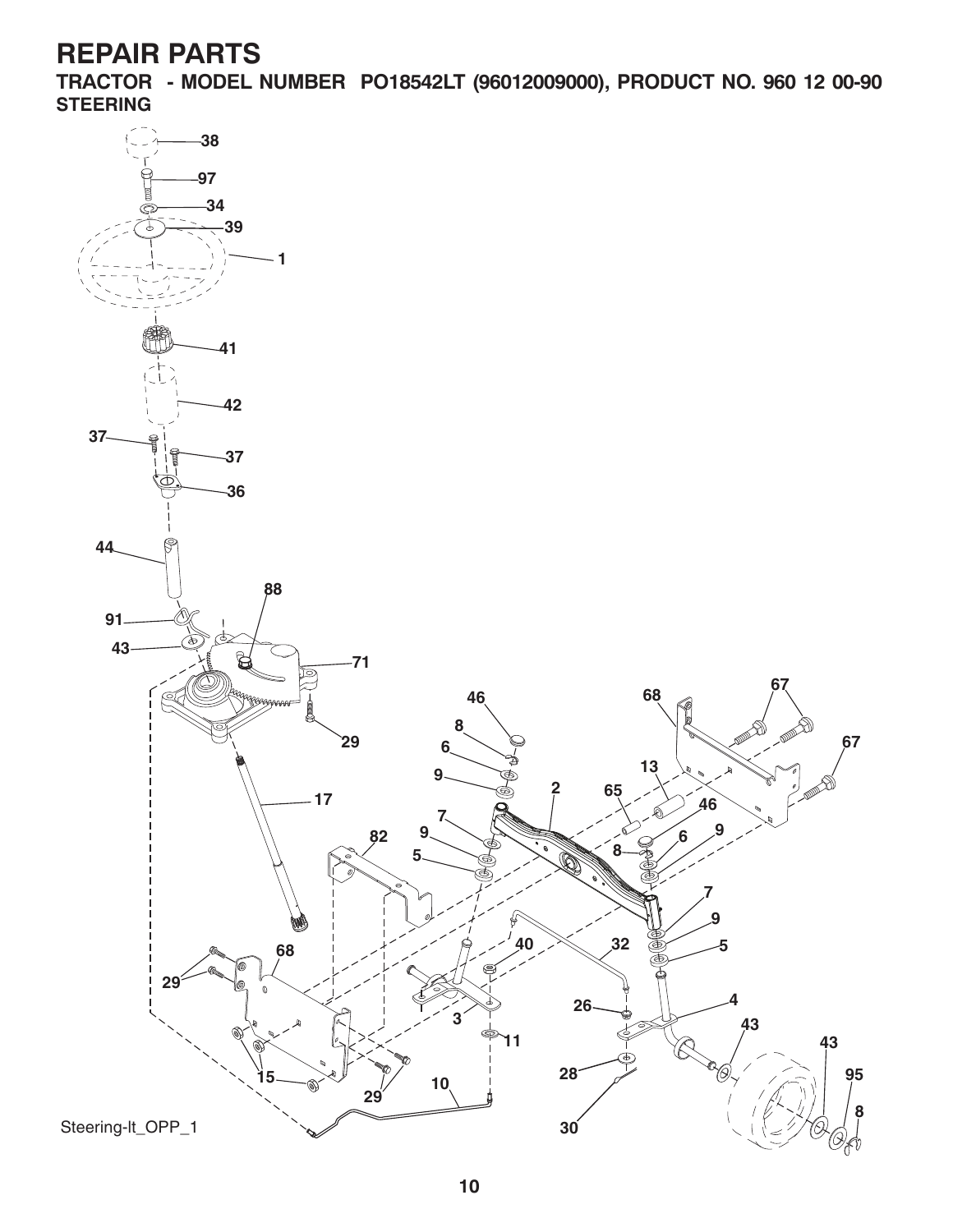**TRACTOR - MODEL NUMBER PO18542LT (96012009000), PRODUCT NO. 960 12 00-90 STEERING**

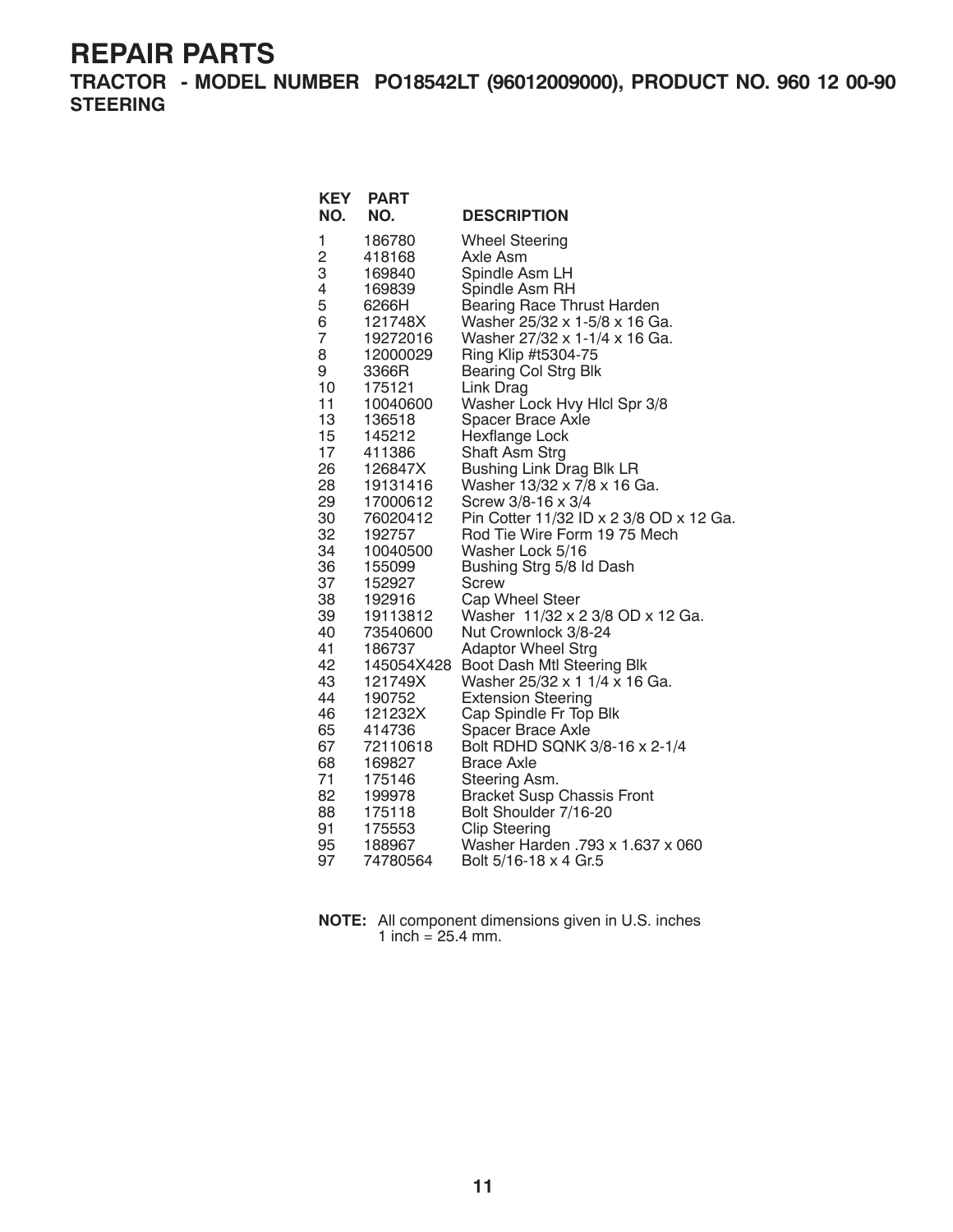**TRACTOR - MODEL NUMBER PO18542LT (96012009000), PRODUCT NO. 960 12 00-90 STEERING**

| NO.<br>NO.<br><b>DESCRIPTION</b><br><b>Wheel Steering</b><br>1<br>186780                   |  |
|--------------------------------------------------------------------------------------------|--|
|                                                                                            |  |
|                                                                                            |  |
| $\overline{c}$<br>418168<br>Axle Asm                                                       |  |
| 3<br>Spindle Asm LH<br>169840                                                              |  |
| 4<br>Spindle Asm RH<br>169839                                                              |  |
| 5<br><b>Bearing Race Thrust Harden</b><br>6266H                                            |  |
| 6<br>Washer 25/32 x 1-5/8 x 16 Ga.<br>121748X                                              |  |
| 7<br>Washer 27/32 x 1-1/4 x 16 Ga.<br>19272016                                             |  |
| 8<br>Ring Klip #t5304-75<br>12000029                                                       |  |
| 9<br><b>Bearing Col Strg Blk</b><br>3366R                                                  |  |
| 10<br>175121<br>Link Drag                                                                  |  |
| 11<br>Washer Lock Hvy Hlcl Spr 3/8<br>10040600                                             |  |
| 13<br>136518<br>Spacer Brace Axle                                                          |  |
| 15<br>Hexflange Lock<br>145212<br>17                                                       |  |
| Shaft Asm Strg<br>411386<br><b>Bushing Link Drag Blk LR</b><br>26<br>126847X               |  |
| 28<br>Washer 13/32 x 7/8 x 16 Ga.<br>19131416                                              |  |
| 29<br>Screw 3/8-16 x 3/4<br>17000612                                                       |  |
| 30<br>Pin Cotter 11/32 ID x 2 3/8 OD x 12 Ga.<br>76020412                                  |  |
| 32<br>Rod Tie Wire Form 19 75 Mech<br>192757                                               |  |
| 34<br>10040500<br>Washer Lock 5/16                                                         |  |
| 36<br>Bushing Strg 5/8 Id Dash<br>155099                                                   |  |
| 37<br>152927<br>Screw                                                                      |  |
| 38<br>Cap Wheel Steer<br>192916                                                            |  |
| 39<br>Washer 11/32 x 2 3/8 OD x 12 Ga.<br>19113812                                         |  |
| Nut Crownlock 3/8-24<br>40<br>73540600                                                     |  |
| 41<br>186737<br><b>Adaptor Wheel Strg</b>                                                  |  |
| Boot Dash Mtl Steering Blk<br>42<br>145054X428                                             |  |
| 43<br>Washer 25/32 x 1 1/4 x 16 Ga.<br>121749X                                             |  |
| 44<br><b>Extension Steering</b><br>190752                                                  |  |
| 46<br>Cap Spindle Fr Top Blk<br>121232X                                                    |  |
| 65<br>Spacer Brace Axle<br>414736                                                          |  |
| 67<br>Bolt RDHD SQNK 3/8-16 x 2-1/4<br>72110618                                            |  |
| 68<br><b>Brace Axle</b><br>169827                                                          |  |
| 71<br>175146<br>Steering Asm.                                                              |  |
| 82<br><b>Bracket Susp Chassis Front</b><br>199978<br>88<br>175118<br>Bolt Shoulder 7/16-20 |  |
| <b>Clip Steering</b><br>91<br>175553                                                       |  |
| 95<br>Washer Harden .793 x 1.637 x 060<br>188967                                           |  |
| 97<br>74780564<br>Bolt 5/16-18 x 4 Gr.5                                                    |  |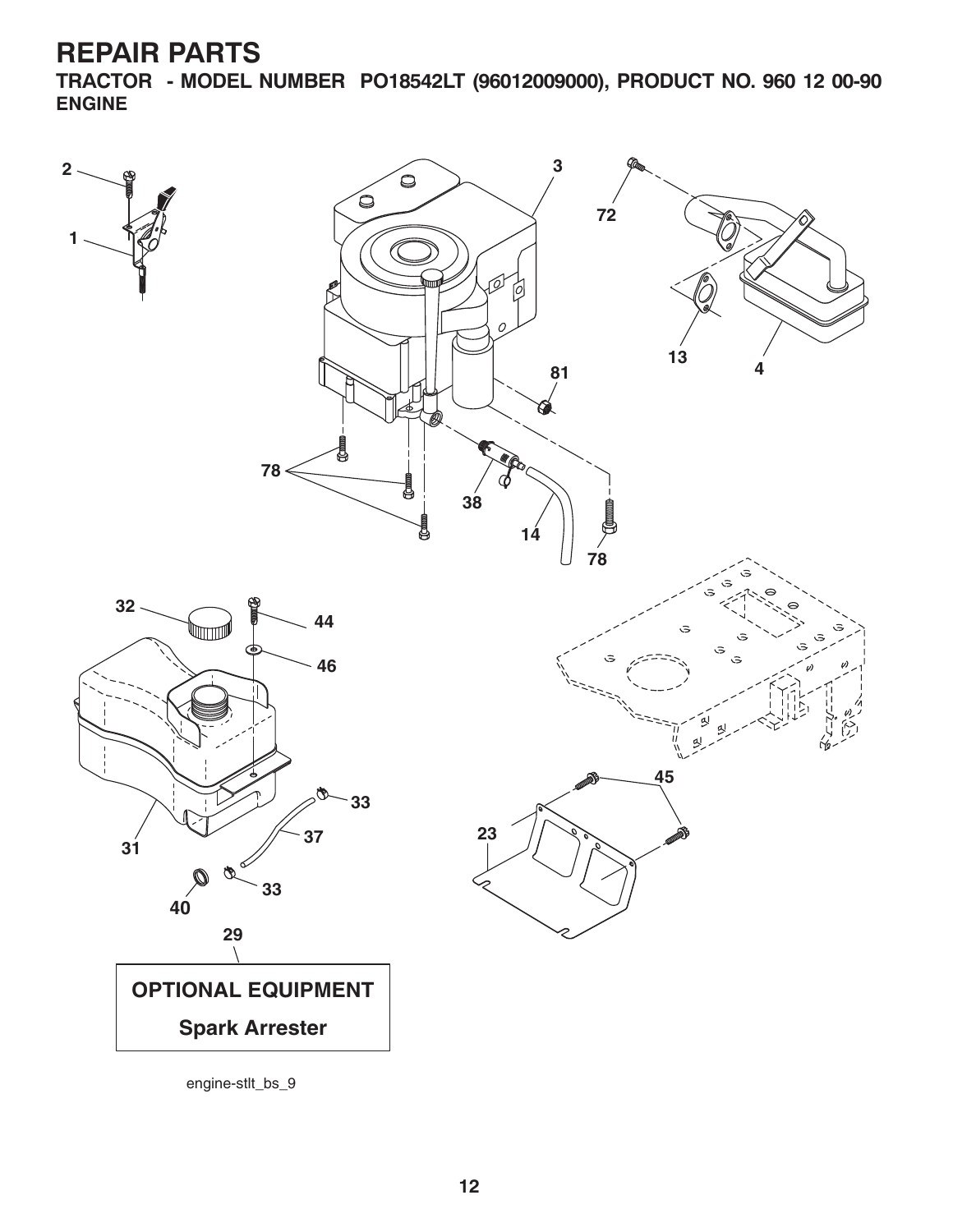**TRACTOR - MODEL NUMBER PO18542LT (96012009000), PRODUCT NO. 960 12 00-90 ENGINE**



engine-stlt\_bs\_9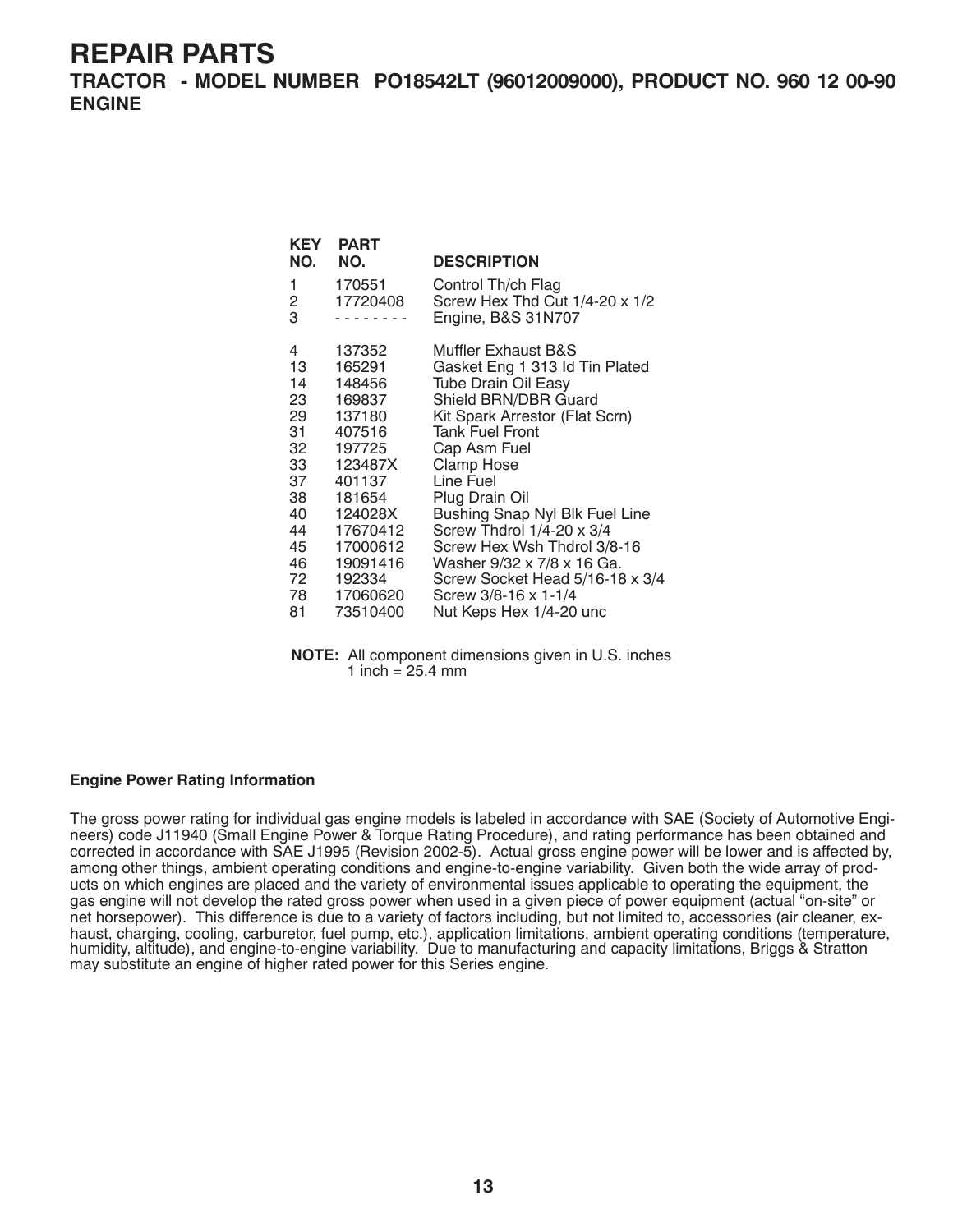**TRACTOR - MODEL NUMBER PO18542LT (96012009000), PRODUCT NO. 960 12 00-90 ENGINE**

| <b>KEY</b><br>NO. | <b>PART</b><br>NO. | <b>DESCRIPTION</b>                                                         |
|-------------------|--------------------|----------------------------------------------------------------------------|
| 1<br>2<br>3       | 170551<br>17720408 | Control Th/ch Flag<br>Screw Hex Thd Cut 1/4-20 x 1/2<br>Engine, B&S 31N707 |
| 4                 | 137352             | <b>Muffler Exhaust B&amp;S</b>                                             |
| 13                | 165291             | Gasket Eng 1 313 ld Tin Plated                                             |
| 14                | 148456             | <b>Tube Drain Oil Easy</b>                                                 |
| 23                | 169837             | Shield BRN/DBR Guard                                                       |
| 29                | 137180             | Kit Spark Arrestor (Flat Scrn)                                             |
| 31                | 407516             | <b>Tank Fuel Front</b>                                                     |
| 32 -              | 197725             | Cap Asm Fuel                                                               |
| 33                | 123487X            | Clamp Hose                                                                 |
| 37                | 401137             | Line Fuel                                                                  |
| 38                | 181654             | Plug Drain Oil                                                             |
| 40                | 124028X            | Bushing Snap Nyl Blk Fuel Line                                             |
| 44                | 17670412           | Screw Thdrol 1/4-20 x 3/4                                                  |
| 45                | 17000612           | Screw Hex Wsh Thdrol 3/8-16                                                |
| 46                | 19091416           | Washer 9/32 x 7/8 x 16 Ga.                                                 |
| 72                | 192334             | Screw Socket Head 5/16-18 x 3/4                                            |
| 78 —              | 17060620           | Screw 3/8-16 x 1-1/4                                                       |
| 81                | 73510400           | Nut Keps Hex 1/4-20 unc                                                    |

**NOTE:** All component dimensions given in U.S. inches 1 inch =  $25.4 \, \text{mm}$ 

#### **Engine Power Rating Information**

The gross power rating for individual gas engine models is labeled in accordance with SAE (Society of Automotive Engineers) code J11940 (Small Engine Power & Torque Rating Procedure), and rating performance has been obtained and corrected in accordance with SAE J1995 (Revision 2002-5). Actual gross engine power will be lower and is affected by, among other things, ambient operating conditions and engine-to-engine variability. Given both the wide array of products on which engines are placed and the variety of environmental issues applicable to operating the equipment, the gas engine will not develop the rated gross power when used in a given piece of power equipment (actual "on-site" or net horsepower). This difference is due to a variety of factors including, but not limited to, accessories (air cleaner, exhaust, charging, cooling, carburetor, fuel pump, etc.), application limitations, ambient operating conditions (temperature, humidity, altitude), and engine-to-engine variability. Due to manufacturing and capacity limitations, Briggs & Stratton may substitute an engine of higher rated power for this Series engine.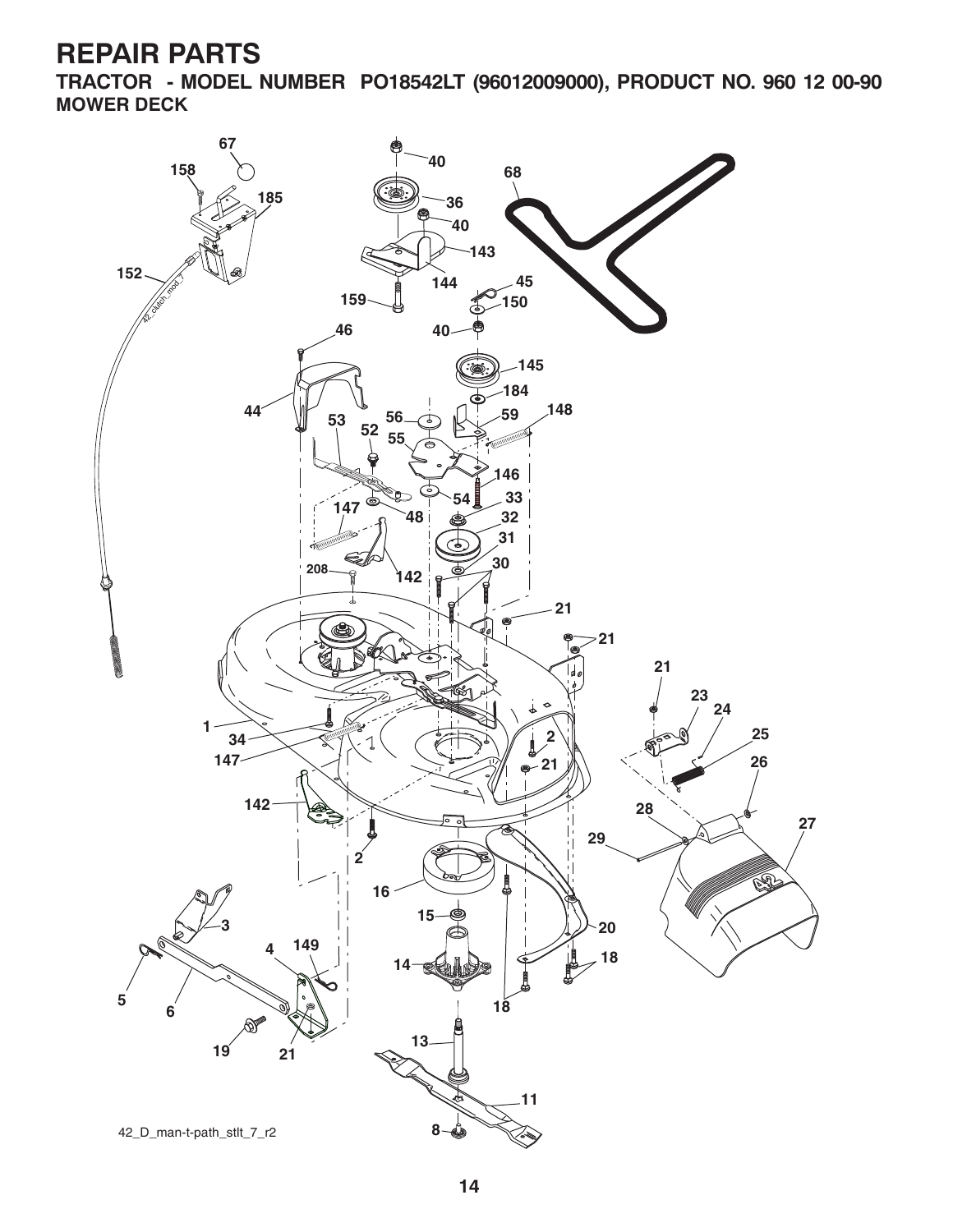**TRACTOR - MODEL NUMBER PO18542LT (96012009000), PRODUCT NO. 960 12 00-90 MOWER DECK**

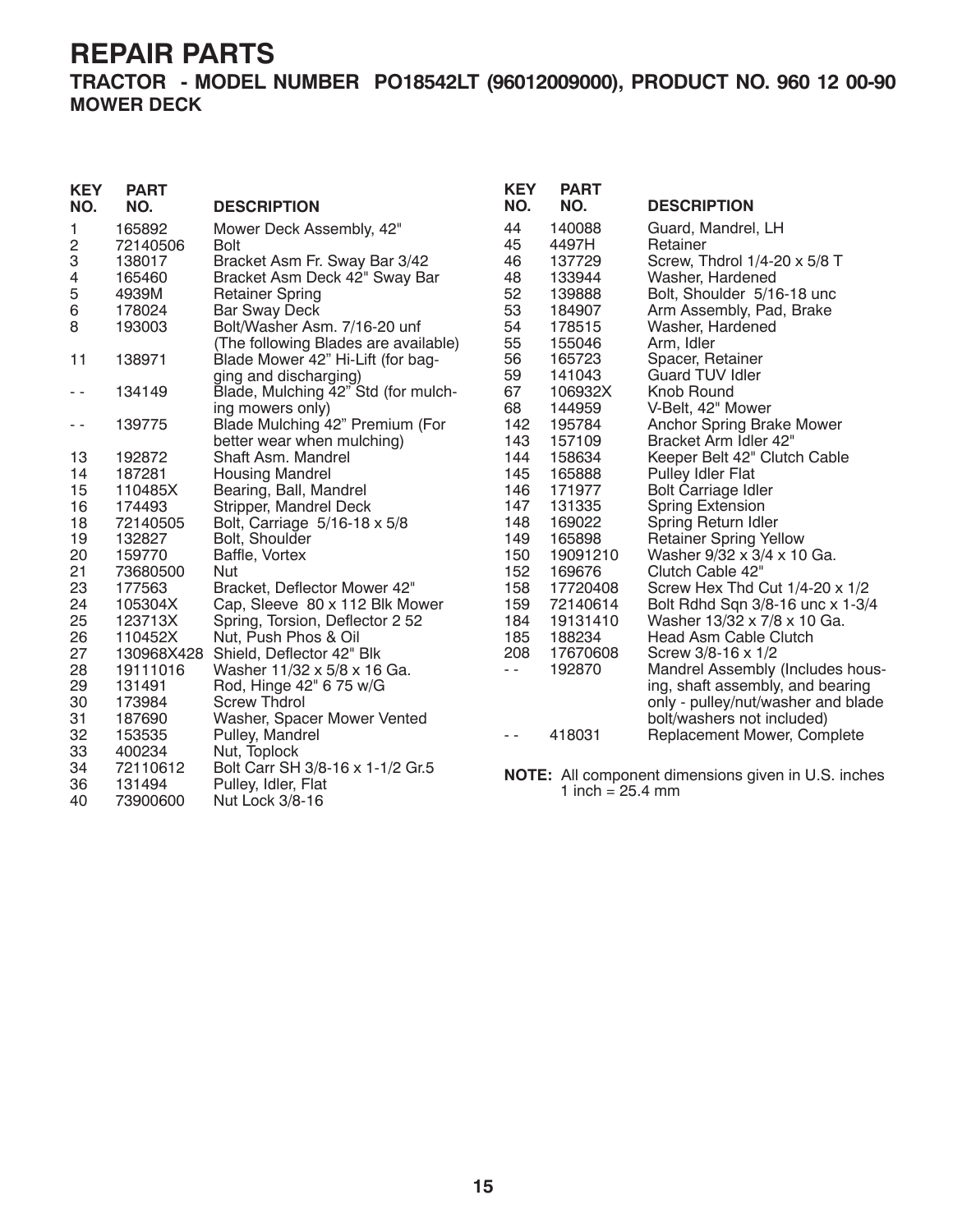**TRACTOR - MODEL NUMBER PO18542LT (96012009000), PRODUCT NO. 960 12 00-90 MOWER DECK**

| <b>KEY</b><br>NO. | <b>PART</b><br>NO. | <b>DESCRIPTION</b>                   | <b>KEY</b><br>NO. | <b>PART</b><br>NO. | <b>DESCRIPTION</b>                                         |
|-------------------|--------------------|--------------------------------------|-------------------|--------------------|------------------------------------------------------------|
| 1                 | 165892             | Mower Deck Assembly, 42"             | 44                | 140088             | Guard, Mandrel, LH                                         |
| 2                 | 72140506           | Bolt                                 | 45                | 4497H              | Retainer                                                   |
| 3                 | 138017             | Bracket Asm Fr. Sway Bar 3/42        | 46                | 137729             | Screw, Thdrol 1/4-20 x 5/8 T                               |
| 4                 | 165460             | Bracket Asm Deck 42" Sway Bar        | 48                | 133944             | Washer, Hardened                                           |
| 5                 | 4939M              | <b>Retainer Spring</b>               | 52                | 139888             | Bolt, Shoulder 5/16-18 unc                                 |
| 6                 | 178024             | <b>Bar Sway Deck</b>                 | 53                | 184907             | Arm Assembly, Pad, Brake                                   |
| 8                 | 193003             | Bolt/Washer Asm. 7/16-20 unf         | 54                | 178515             | Washer, Hardened                                           |
|                   |                    | (The following Blades are available) | 55                | 155046             | Arm, Idler                                                 |
| 11                | 138971             | Blade Mower 42" Hi-Lift (for bag-    | 56                | 165723             | Spacer, Retainer                                           |
|                   |                    | ging and discharging)                | 59                | 141043             | <b>Guard TUV Idler</b>                                     |
| - -               | 134149             | Blade, Mulching 42" Std (for mulch-  | 67                | 106932X            | Knob Round                                                 |
|                   |                    | ing mowers only)                     | 68                | 144959             | V-Belt, 42" Mower                                          |
| $ -$              | 139775             | Blade Mulching 42" Premium (For      | 142               | 195784             | Anchor Spring Brake Mower                                  |
|                   |                    | better wear when mulching)           | 143               | 157109             | Bracket Arm Idler 42"                                      |
| 13                | 192872             | Shaft Asm. Mandrel                   | 144               | 158634             | Keeper Belt 42" Clutch Cable                               |
| 14                | 187281             | <b>Housing Mandrel</b>               | 145               | 165888             | Pulley Idler Flat                                          |
| 15                | 110485X            | Bearing, Ball, Mandrel               | 146               | 171977             | <b>Bolt Carriage Idler</b>                                 |
| 16                | 174493             | Stripper, Mandrel Deck               | 147               | 131335             | <b>Spring Extension</b>                                    |
| 18                | 72140505           | Bolt, Carriage 5/16-18 x 5/8         | 148               | 169022             | Spring Return Idler                                        |
| 19                | 132827             | Bolt, Shoulder                       | 149               | 165898             | <b>Retainer Spring Yellow</b>                              |
| 20                | 159770             | Baffle, Vortex                       | 150               | 19091210           | Washer 9/32 x 3/4 x 10 Ga.                                 |
| 21                | 73680500           | <b>Nut</b>                           | 152               | 169676             | Clutch Cable 42"                                           |
| 23                | 177563             | Bracket, Deflector Mower 42"         | 158               | 17720408           | Screw Hex Thd Cut 1/4-20 x 1/2                             |
| 24                | 105304X            | Cap, Sleeve 80 x 112 Blk Mower       | 159               | 72140614           | Bolt Rdhd Sqn 3/8-16 unc x 1-3/4                           |
| 25                | 123713X            | Spring, Torsion, Deflector 2 52      | 184               | 19131410           | Washer 13/32 x 7/8 x 10 Ga.                                |
| 26                | 110452X            | Nut, Push Phos & Oil                 | 185               | 188234             | Head Asm Cable Clutch                                      |
| 27                |                    | 130968X428 Shield, Deflector 42" Blk | 208               | 17670608           | Screw 3/8-16 x 1/2                                         |
| 28                | 19111016           | Washer 11/32 x 5/8 x 16 Ga.          | $\sim$ $\sim$     | 192870             | Mandrel Assembly (Includes hous-                           |
| 29                | 131491             | Rod, Hinge 42" 6 75 w/G              |                   |                    | ing, shaft assembly, and bearing                           |
| 30                | 173984             | <b>Screw Thdrol</b>                  |                   |                    | only - pulley/nut/washer and blade                         |
| 31                | 187690             | Washer, Spacer Mower Vented          |                   |                    | bolt/washers not included)                                 |
| 32                | 153535             | Pulley, Mandrel                      | $\sim$ $\sim$     | 418031             | Replacement Mower, Complete                                |
| 33                | 400234             | Nut, Toplock                         |                   |                    |                                                            |
| 34                | 72110612           | Bolt Carr SH 3/8-16 x 1-1/2 Gr.5     |                   |                    | <b>NOTE:</b> All component dimensions given in U.S. inches |
| 36                | 131494             | Pulley, Idler, Flat                  |                   | 1 inch = $25.4$ mm |                                                            |
| 40                | 73900600           | Nut Lock 3/8-16                      |                   |                    |                                                            |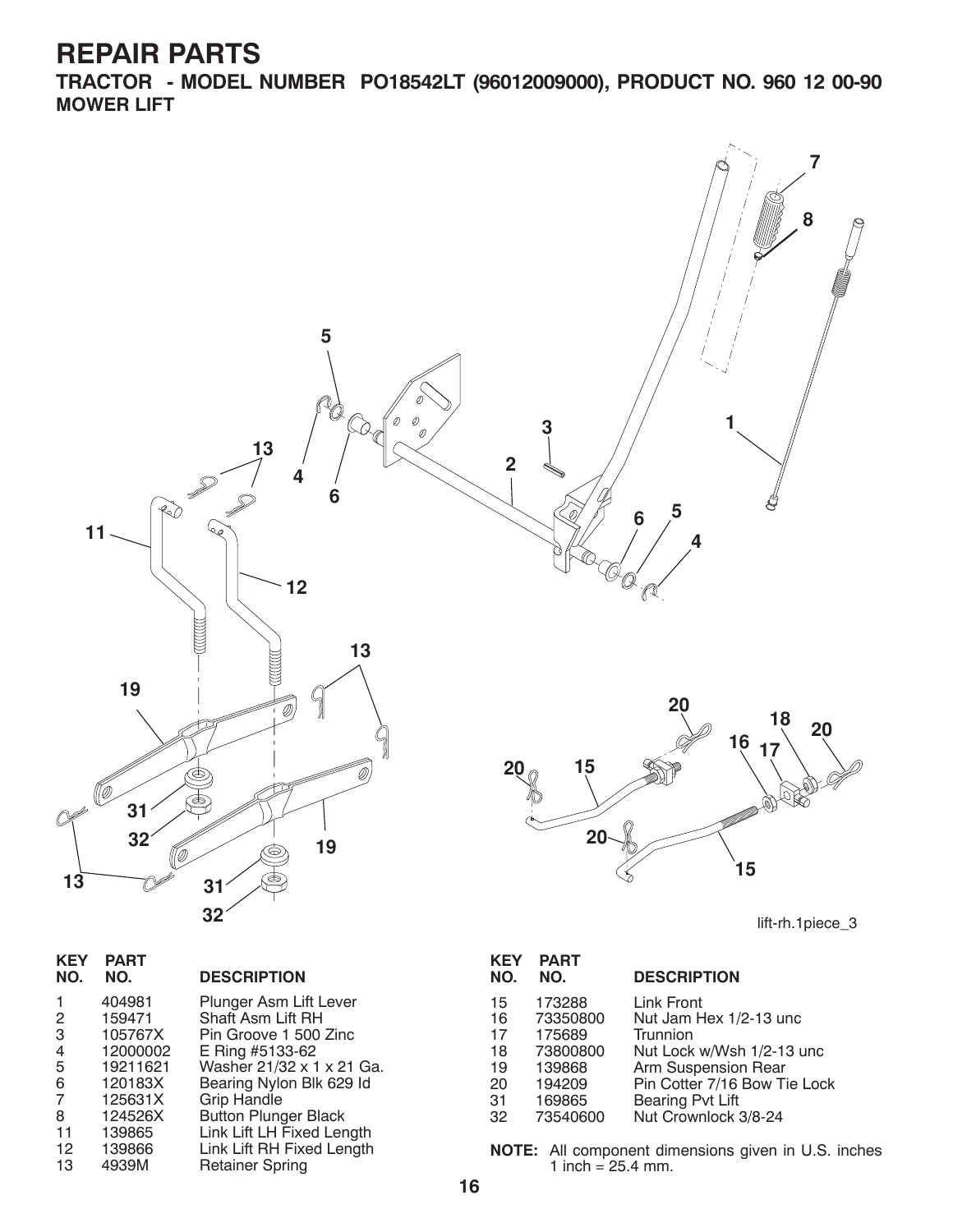**TRACTOR - MODEL NUMBER PO18542LT (96012009000), PRODUCT NO. 960 12 00-90 MOWER LIFT**



| NE I<br>NO.    | FAR I<br>NO. | <b>DESCRIPTION</b>          |
|----------------|--------------|-----------------------------|
| 1              | 404981       | Plunger Asm Lift Lever      |
| $\overline{2}$ | 159471       | Shaft Asm Lift RH           |
| 3              | 105767X      | Pin Groove 1 500 Zinc       |
| 4              | 12000002     | E Ring #5133-62             |
| 5              | 19211621     | Washer 21/32 x 1 x 21 Ga.   |
| 6              | 120183X      | Bearing Nylon Blk 629 Id    |
| 7              | 125631X      | <b>Grip Handle</b>          |
| 8              | 124526X      | <b>Button Plunger Black</b> |
| 11             | 139865       | Link Lift LH Fixed Length   |
| 12             | 139866       | Link Lift RH Fixed Length   |
| 13             | 4939M        | <b>Retainer Spring</b>      |
|                |              |                             |

| NO.      | NO.                | <b>DESCRIPTION</b>                               |
|----------|--------------------|--------------------------------------------------|
| 15<br>16 | 173288<br>73350800 | Link Front<br>Nut Jam Hex 1/2-13 unc             |
| 17       | 175689             | Trunnion                                         |
| 18<br>19 | 73800800<br>139868 | Nut Lock w/Wsh 1/2-13 unc<br>Arm Suspension Rear |
| 20       | 194209             | Pin Cotter 7/16 Bow Tie Lock                     |
| 31<br>32 | 169865<br>73540600 | Bearing Pvt Lift<br>Nut Crownlock 3/8-24         |
|          |                    |                                                  |